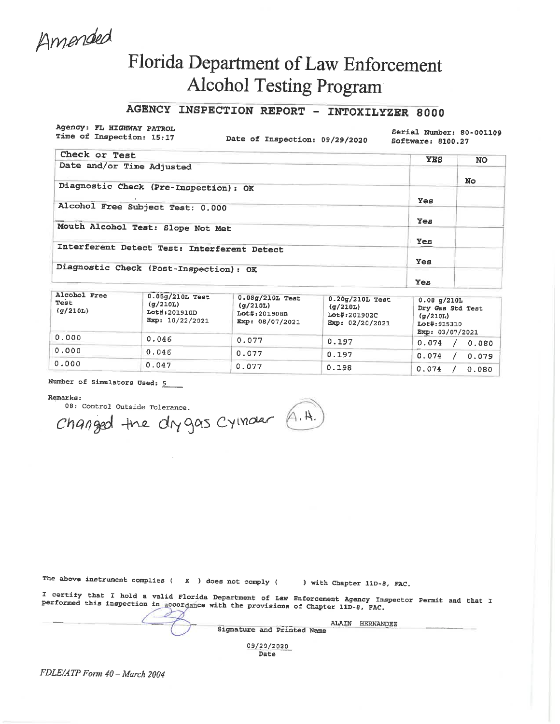Amended

# Florida Department of Law Enforcement **Alcohol Testing Program**

## AGENCY INSPECTION REPORT - INTOXILYZER 8000

Agency: FL HIGHWAY PATROL Time of Inspection: 15:17

Date of Inspection: 09/29/2020

Serial Number: 80-001109 Software: 8100.27

| Check or Test                               | <b>YES</b> | <b>NO</b> |
|---------------------------------------------|------------|-----------|
| Date and/or Time Adjusted                   |            |           |
|                                             |            | No.       |
| Diagnostic Check (Pre-Inspection): OK       |            |           |
|                                             | Yes        |           |
| Alcohol Free Subject Test: 0.000            |            |           |
|                                             | Yes        |           |
| Mouth Alcohol Test: Slope Not Met           |            |           |
|                                             | Yes        |           |
| Interferent Detect Test: Interferent Detect |            |           |
|                                             | Yes        |           |
| Diagnostic Check (Post-Inspection): OK      |            |           |
|                                             | Yes        |           |

| Alcohol Free<br>Test<br>(g/210L) | $0.05g/210L$ Test<br>(q/210L)<br>Lot#:201910D<br>Exp: 10/22/2021 | $0.08g/210L$ Test<br>(q/210L)<br>$Lot#_1201908B$<br>Exp: 08/07/2021 | $0.20$ g/210L Test<br>(q/210L)<br>Lot#:201902C<br>Exp: 02/20/2021 | 0.08 q/210L<br>Dry Gas Std Test<br>(q/210L)<br>Lot#:915310<br>Exp: 03/07/2021 |
|----------------------------------|------------------------------------------------------------------|---------------------------------------------------------------------|-------------------------------------------------------------------|-------------------------------------------------------------------------------|
| 0.000                            | 0.046                                                            | 0.077                                                               | 0.197                                                             | 0.074<br>0.080                                                                |
| 0.000                            | 0.046                                                            | 0.077                                                               | 0.197                                                             | 0.074<br>0.079                                                                |
| 0.000                            | 0.047                                                            | 0.077                                                               | 0.198                                                             | 0.074<br>0.080                                                                |

### Number of Simulators Used: 5

#### Remarks:

08: Control Outside Tolerance.

Changed the drygas Cymour A.H.

The above instrument complies ( $\chi$ ) does not comply ( ) with Chapter 11D-8, FAC.

I certify that I hold a valid Florida Department of Law Enforcement Agency Inspector Permit and that I performed this inspection in accordance with the provisions of Chapter 11D-8, FAC.

> ALAIN HERNANDEZ Signature and Printed Name

> > 09/29/2020 Date

FDLE/ATP Form 40 - March 2004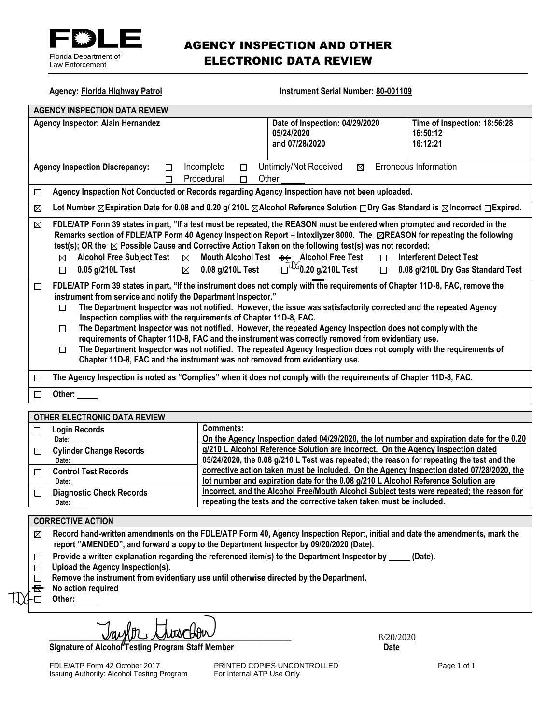

## AGENCY INSPECTION AND OTHER ELECTRONIC DATA REVIEW

| <b>AGENCY INSPECTION DATA REVIEW</b><br>Agency Inspector: Alain Hernandez<br>Date of Inspection: 04/29/2020<br>Time of Inspection: 18:56:28<br>05/24/2020<br>16:50:12<br>16:12:21<br>and 07/28/2020<br><b>Erroneous Information</b><br>Incomplete<br>Untimely/Not Received<br><b>Agency Inspection Discrepancy:</b><br>$\boxtimes$<br>П<br>□<br>Procedural<br>Other<br>П<br>П<br>Agency Inspection Not Conducted or Records regarding Agency Inspection have not been uploaded.<br>□<br>Lot Number ⊠Expiration Date for 0.08 and 0.20 g/ 210L ⊠Alcohol Reference Solution $\square$ Dry Gas Standard is ⊠Incorrect $\square$ Expired.<br>⊠<br>FDLE/ATP Form 39 states in part, "If a test must be repeated, the REASON must be entered when prompted and recorded in the<br>⊠<br>Remarks section of FDLE/ATP Form 40 Agency Inspection Report – Intoxilyzer 8000. The ⊠REASON for repeating the following<br>test(s); OR the $\boxtimes$ Possible Cause and Corrective Action Taken on the following test(s) was not recorded:<br>Mouth Alcohol Test <b>B</b> Alcohol Free Test<br><b>Alcohol Free Subject Test</b><br>$\boxtimes$<br><b>Interferent Detect Test</b><br>$\Box$<br>⊠<br>$\Box^{\text{TV}}$ 0.20 g/210L Test $\Box$ 0.08 g/210L Dry Gas Standard Test<br>$\boxtimes$ 0.08 g/210L Test<br>0.05 g/210L Test<br>$\Box$<br>FDLE/ATP Form 39 states in part, "If the instrument does not comply with the requirements of Chapter 11D-8, FAC, remove the<br>$\Box$<br>instrument from service and notify the Department Inspector."<br>The Department Inspector was not notified. However, the issue was satisfactorily corrected and the repeated Agency<br>□<br>Inspection complies with the requirements of Chapter 11D-8, FAC.<br>The Department Inspector was not notified. However, the repeated Agency Inspection does not comply with the<br>П<br>requirements of Chapter 11D-8, FAC and the instrument was correctly removed from evidentiary use.<br>The Department Inspector was not notified. The repeated Agency Inspection does not comply with the requirements of<br>П<br>Chapter 11D-8, FAC and the instrument was not removed from evidentiary use.<br>The Agency Inspection is noted as "Complies" when it does not comply with the requirements of Chapter 11D-8, FAC.<br>□ | <b>Agency: Florida Highway Patrol</b> | <b>Instrument Serial Number: 80-001109</b> |  |  |
|---------------------------------------------------------------------------------------------------------------------------------------------------------------------------------------------------------------------------------------------------------------------------------------------------------------------------------------------------------------------------------------------------------------------------------------------------------------------------------------------------------------------------------------------------------------------------------------------------------------------------------------------------------------------------------------------------------------------------------------------------------------------------------------------------------------------------------------------------------------------------------------------------------------------------------------------------------------------------------------------------------------------------------------------------------------------------------------------------------------------------------------------------------------------------------------------------------------------------------------------------------------------------------------------------------------------------------------------------------------------------------------------------------------------------------------------------------------------------------------------------------------------------------------------------------------------------------------------------------------------------------------------------------------------------------------------------------------------------------------------------------------------------------------------------------------------------------------------------------------------------------------------------------------------------------------------------------------------------------------------------------------------------------------------------------------------------------------------------------------------------------------------------------------------------------------------------------------------------------------------------------------------------------------------------------|---------------------------------------|--------------------------------------------|--|--|
|                                                                                                                                                                                                                                                                                                                                                                                                                                                                                                                                                                                                                                                                                                                                                                                                                                                                                                                                                                                                                                                                                                                                                                                                                                                                                                                                                                                                                                                                                                                                                                                                                                                                                                                                                                                                                                                                                                                                                                                                                                                                                                                                                                                                                                                                                                         |                                       |                                            |  |  |
|                                                                                                                                                                                                                                                                                                                                                                                                                                                                                                                                                                                                                                                                                                                                                                                                                                                                                                                                                                                                                                                                                                                                                                                                                                                                                                                                                                                                                                                                                                                                                                                                                                                                                                                                                                                                                                                                                                                                                                                                                                                                                                                                                                                                                                                                                                         |                                       |                                            |  |  |
|                                                                                                                                                                                                                                                                                                                                                                                                                                                                                                                                                                                                                                                                                                                                                                                                                                                                                                                                                                                                                                                                                                                                                                                                                                                                                                                                                                                                                                                                                                                                                                                                                                                                                                                                                                                                                                                                                                                                                                                                                                                                                                                                                                                                                                                                                                         |                                       |                                            |  |  |
|                                                                                                                                                                                                                                                                                                                                                                                                                                                                                                                                                                                                                                                                                                                                                                                                                                                                                                                                                                                                                                                                                                                                                                                                                                                                                                                                                                                                                                                                                                                                                                                                                                                                                                                                                                                                                                                                                                                                                                                                                                                                                                                                                                                                                                                                                                         |                                       |                                            |  |  |
|                                                                                                                                                                                                                                                                                                                                                                                                                                                                                                                                                                                                                                                                                                                                                                                                                                                                                                                                                                                                                                                                                                                                                                                                                                                                                                                                                                                                                                                                                                                                                                                                                                                                                                                                                                                                                                                                                                                                                                                                                                                                                                                                                                                                                                                                                                         |                                       |                                            |  |  |
|                                                                                                                                                                                                                                                                                                                                                                                                                                                                                                                                                                                                                                                                                                                                                                                                                                                                                                                                                                                                                                                                                                                                                                                                                                                                                                                                                                                                                                                                                                                                                                                                                                                                                                                                                                                                                                                                                                                                                                                                                                                                                                                                                                                                                                                                                                         |                                       |                                            |  |  |
|                                                                                                                                                                                                                                                                                                                                                                                                                                                                                                                                                                                                                                                                                                                                                                                                                                                                                                                                                                                                                                                                                                                                                                                                                                                                                                                                                                                                                                                                                                                                                                                                                                                                                                                                                                                                                                                                                                                                                                                                                                                                                                                                                                                                                                                                                                         |                                       |                                            |  |  |
|                                                                                                                                                                                                                                                                                                                                                                                                                                                                                                                                                                                                                                                                                                                                                                                                                                                                                                                                                                                                                                                                                                                                                                                                                                                                                                                                                                                                                                                                                                                                                                                                                                                                                                                                                                                                                                                                                                                                                                                                                                                                                                                                                                                                                                                                                                         |                                       |                                            |  |  |
| Other:<br>П                                                                                                                                                                                                                                                                                                                                                                                                                                                                                                                                                                                                                                                                                                                                                                                                                                                                                                                                                                                                                                                                                                                                                                                                                                                                                                                                                                                                                                                                                                                                                                                                                                                                                                                                                                                                                                                                                                                                                                                                                                                                                                                                                                                                                                                                                             |                                       |                                            |  |  |

#### **OTHER ELECTRONIC DATA REVIEW**

| $\mathbf{I}$ | <b>Login Records</b>            | Comments:                                                                                  |
|--------------|---------------------------------|--------------------------------------------------------------------------------------------|
|              | Date:                           | On the Agency Inspection dated 04/29/2020, the lot number and expiration date for the 0.20 |
|              | <b>Cylinder Change Records</b>  | g/210 L Alcohol Reference Solution are incorrect. On the Agency Inspection dated           |
|              | Date:                           | 05/24/2020, the 0.08 g/210 L Test was repeated; the reason for repeating the test and the  |
|              | <b>Control Test Records</b>     | corrective action taken must be included. On the Agency Inspection dated 07/28/2020, the   |
|              | Date:                           | lot number and expiration date for the 0.08 g/210 L Alcohol Reference Solution are         |
|              | <b>Diagnostic Check Records</b> | incorrect, and the Alcohol Free/Mouth Alcohol Subject tests were repeated; the reason for  |
|              | Date:                           | repeating the tests and the corrective taken taken must be included.                       |

#### **CORRECTIVE ACTION**

**Record hand-written amendments on the FDLE/ATP Form 40, Agency Inspection Report, initial and date the amendments, mark the**   $\boxtimes$ **report "AMENDED", and forward a copy to the Department Inspector by 09/20/2020 (Date).**

- Provide a written explanation regarding the referenced item(s) to the Department Inspector by \_\_\_\_\_ (Date).  $\Box$
- **Upload the Agency Inspection(s).**
- **Remove the instrument from evidentiary use until otherwise directed by the Department.**
- **<sup>8</sup>** No action required
- **Other:**

**Signature of Alcohol Testing Program Staff Member Community Community Community Community Community Community** 

FDLE/ATP Form 42 October 2017 **PRINTED COPIES UNCONTROLLED** Page 1 of 1<br>
Issuing Authority: Alcohol Testing Program For Internal ATP Use Only Issuing Authority: Alcohol Testing Program

\_\_\_\_\_\_\_\_\_\_\_\_\_\_\_\_\_\_\_\_\_\_\_\_\_\_\_\_\_\_\_\_\_\_\_\_\_\_\_\_\_\_\_\_\_\_\_\_\_\_\_\_\_ 8/20/2020